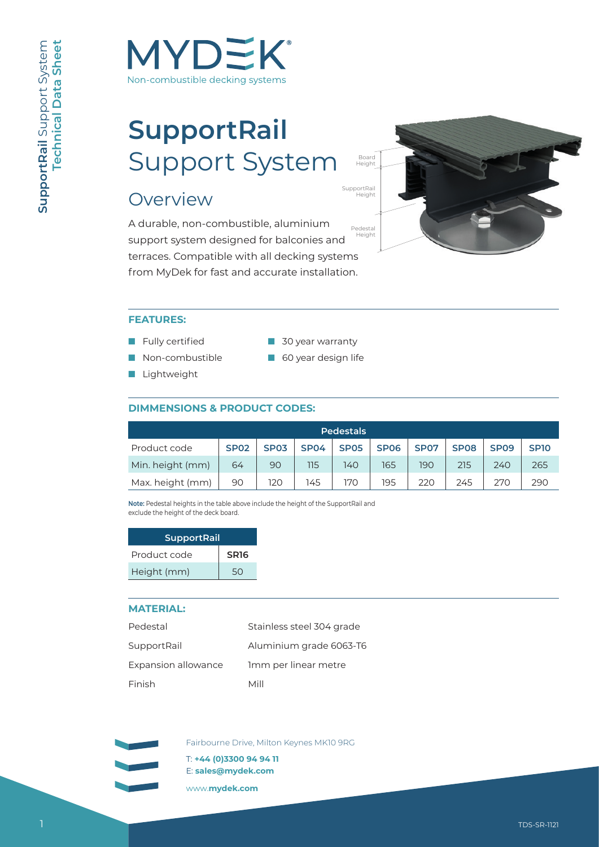

# **SupportRail** Support System

# **Overview**

A durable, non-combustible, aluminium support system designed for balconies and terraces. Compatible with all decking systems from MyDek for fast and accurate installation.



#### **FEATURES:**

- Fully certified
- Non-combustible
- Lightweight
- 30 year warranty
- 60 year design life

#### **DIMMENSIONS & PRODUCT CODES:**

| <b>Pedestals</b> |             |             |             |             |             |             |                  |             |             |
|------------------|-------------|-------------|-------------|-------------|-------------|-------------|------------------|-------------|-------------|
| Product code     | <b>SP02</b> | <b>SP03</b> | <b>SP04</b> | <b>SP05</b> | <b>SP06</b> | <b>SP07</b> | SP <sub>08</sub> | <b>SP09</b> | <b>SP10</b> |
| Min. height (mm) | 64          | 90          | 115         | 140         | 165         | 190         | 215              | 240         | 265         |
| Max. height (mm) | 90          | 120         | 145         | 170         | 195         | 220         | 245              | 270         | 290         |

**Note:** Pedestal heights in the table above include the height of the SupportRail and exclude the height of the deck board.

| <b>SupportRail</b> |                  |  |  |  |
|--------------------|------------------|--|--|--|
| Product code       | SR <sub>16</sub> |  |  |  |
| Height (mm)        | 50               |  |  |  |

#### **MATERIAL:**

| Pedestal            | Stainless steel 304 grade |
|---------------------|---------------------------|
| SupportRail         | Aluminium grade 6063-T6   |
| Expansion allowance | Imm per linear metre      |
| Finish              | Mill                      |

Fairbourne Drive, Milton Keynes MK10 9RG

T: **+44 (0)3300 94 94 11**  E: **sales@mydek.com** 

www.**mydek.com**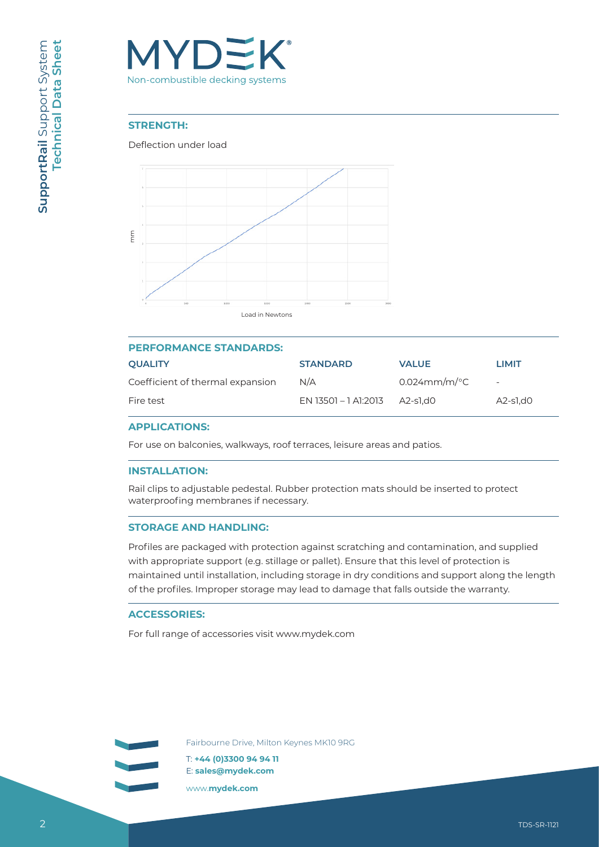

#### **STRENGTH:**

#### Deflection under load



| <b>PERFORMANCE STANDARDS:</b>    |                      |                           |                          |  |  |  |  |  |
|----------------------------------|----------------------|---------------------------|--------------------------|--|--|--|--|--|
| <b>OUALITY</b>                   | <b>STANDARD</b>      | <b>VALUE</b>              | <b>LIMIT</b>             |  |  |  |  |  |
| Coefficient of thermal expansion | N/A                  | $0.024$ mm/m/ $\degree$ C | $\overline{\phantom{0}}$ |  |  |  |  |  |
| Fire test                        | EN 13501 – 1 A1:2013 | A2-s1.d0                  | $A2-S1,00$               |  |  |  |  |  |

#### **APPLICATIONS:**

For use on balconies, walkways, roof terraces, leisure areas and patios.

#### **INSTALLATION:**

Rail clips to adjustable pedestal. Rubber protection mats should be inserted to protect waterproofing membranes if necessary.

#### **STORAGE AND HANDLING:**

Profiles are packaged with protection against scratching and contamination, and supplied with appropriate support (e.g. stillage or pallet). Ensure that this level of protection is maintained until installation, including storage in dry conditions and support along the length of the profiles. Improper storage may lead to damage that falls outside the warranty.

#### **ACCESSORIES:**

Fairbourne Drive, Milton Keynes MK10 9RG

T: **+44 (0)3300 94 94 11**  E: **sales@mydek.com** 

www.**mydek.com**